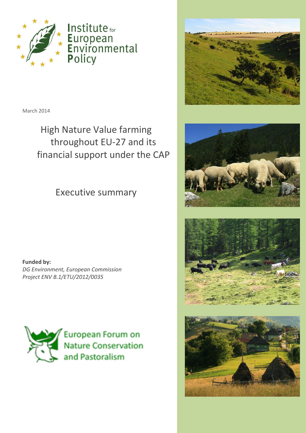

March 2014

High Nature Value farming throughout EU-27 and its financial support under the CAP

Executive summary

**Funded by:** *DG Environment, European Commission Project ENV B.1/ETU/2012/0035*



European Forum on **Nature Conservation** and Pastoralism







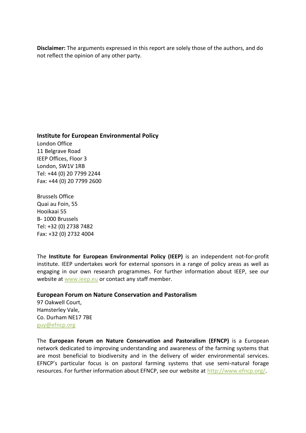**Disclaimer:** The arguments expressed in this report are solely those of the authors, and do not reflect the opinion of any other party.

#### **Institute for European Environmental Policy**

London Office 11 Belgrave Road IEEP Offices, Floor 3 London, SW1V 1RB Tel: +44 (0) 20 7799 2244 Fax: +44 (0) 20 7799 2600

Brussels Office Quai au Foin, 55 Hooikaai 55 B- 1000 Brussels Tel: +32 (0) 2738 7482 Fax: +32 (0) 2732 4004

The **Institute for European Environmental Policy (IEEP)** is an independent not-for-profit institute. IEEP undertakes work for external sponsors in a range of policy areas as well as engaging in our own research programmes. For further information about IEEP, see our website at [www.ieep.eu](http://www.ieep.eu/) or contact any staff member.

#### **European Forum on Nature Conservation and Pastoralism**

97 Oakwell Court, Hamsterley Vale, Co. Durham NE17 7BE [guy@efncp.org](mailto:guy@efncp.org)

The **European Forum on Nature Conservation and Pastoralism (EFNCP)** is a European network dedicated to improving understanding and awareness of the farming systems that are most beneficial to biodiversity and in the delivery of wider environmental services. EFNCP's particular focus is on pastoral farming systems that use semi-natural forage resources. For further information about EFNCP, see our website at [http://www.efncp.org/.](http://www.efncp.org/)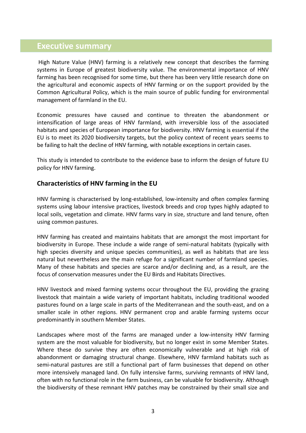# **Executive summary**

High Nature Value (HNV) farming is a relatively new concept that describes the farming systems in Europe of greatest biodiversity value. The environmental importance of HNV farming has been recognised for some time, but there has been very little research done on the agricultural and economic aspects of HNV farming or on the support provided by the Common Agricultural Policy, which is the main source of public funding for environmental management of farmland in the EU.

Economic pressures have caused and continue to threaten the abandonment or intensification of large areas of HNV farmland, with irreversible loss of the associated habitats and species of European importance for biodiversity. HNV farming is essential if the EU is to meet its 2020 biodiversity targets, but the policy context of recent years seems to be failing to halt the decline of HNV farming, with notable exceptions in certain cases.

This study is intended to contribute to the evidence base to inform the design of future EU policy for HNV farming.

### **Characteristics of HNV farming in the EU**

HNV farming is characterised by long-established, low-intensity and often complex farming systems using labour intensive practices, livestock breeds and crop types highly adapted to local soils, vegetation and climate. HNV farms vary in size, structure and land tenure, often using common pastures.

HNV farming has created and maintains habitats that are amongst the most important for biodiversity in Europe. These include a wide range of semi-natural habitats (typically with high species diversity and unique species communities), as well as habitats that are less natural but nevertheless are the main refuge for a significant number of farmland species. Many of these habitats and species are scarce and/or declining and, as a result, are the focus of conservation measures under the EU Birds and Habitats Directives.

HNV livestock and mixed farming systems occur throughout the EU, providing the grazing livestock that maintain a wide variety of important habitats, including traditional wooded pastures found on a large scale in parts of the Mediterranean and the south-east, and on a smaller scale in other regions. HNV permanent crop and arable farming systems occur predominantly in southern Member States.

Landscapes where most of the farms are managed under a low-intensity HNV farming system are the most valuable for biodiversity, but no longer exist in some Member States. Where these do survive they are often economically vulnerable and at high risk of abandonment or damaging structural change. Elsewhere, HNV farmland habitats such as semi-natural pastures are still a functional part of farm businesses that depend on other more intensively managed land. On fully intensive farms, surviving remnants of HNV land, often with no functional role in the farm business, can be valuable for biodiversity. Although the biodiversity of these remnant HNV patches may be constrained by their small size and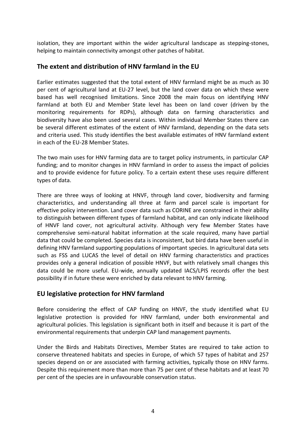isolation, they are important within the wider agricultural landscape as stepping-stones, helping to maintain connectivity amongst other patches of habitat.

# **The extent and distribution of HNV farmland in the EU**

Earlier estimates suggested that the total extent of HNV farmland might be as much as 30 per cent of agricultural land at EU-27 level, but the land cover data on which these were based has well recognised limitations. Since 2008 the main focus on identifying HNV farmland at both EU and Member State level has been on land cover (driven by the monitoring requirements for RDPs), although data on farming characteristics and biodiversity have also been used several cases. Within individual Member States there can be several different estimates of the extent of HNV farmland, depending on the data sets and criteria used. This study identifies the best available estimates of HNV farmland extent in each of the EU-28 Member States.

The two main uses for HNV farming data are to target policy instruments, in particular CAP funding; and to monitor changes in HNV farmland in order to assess the impact of policies and to provide evidence for future policy. To a certain extent these uses require different types of data.

There are three ways of looking at HNVF, through land cover, biodiversity and farming characteristics, and understanding all three at farm and parcel scale is important for effective policy intervention. Land cover data such as CORINE are constrained in their ability to distinguish between different types of farmland habitat, and can only indicate likelihood of HNVF land cover, not agricultural activity. Although very few Member States have comprehensive semi-natural habitat information at the scale required, many have partial data that could be completed. Species data is inconsistent, but bird data have been useful in defining HNV farmland supporting populations of important species. In agricultural data sets such as FSS and LUCAS the level of detail on HNV farming characteristics and practices provides only a general indication of possible HNVF, but with relatively small changes this data could be more useful. EU-wide, annually updated IACS/LPIS records offer the best possibility if in future these were enriched by data relevant to HNV farming.

### **EU legislative protection for HNV farmland**

Before considering the effect of CAP funding on HNVF, the study identified what EU legislative protection is provided for HNV farmland, under both environmental and agricultural policies. This legislation is significant both in itself and because it is part of the environmental requirements that underpin CAP land management payments.

Under the Birds and Habitats Directives, Member States are required to take action to conserve threatened habitats and species in Europe, of which 57 types of habitat and 257 species depend on or are associated with farming activities, typically those on HNV farms. Despite this requirement more than more than 75 per cent of these habitats and at least 70 per cent of the species are in unfavourable conservation status.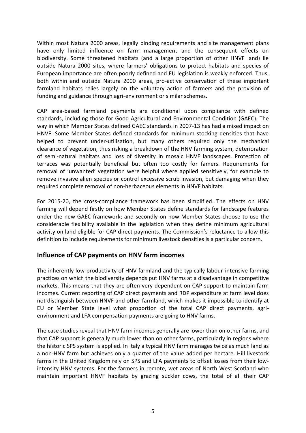Within most Natura 2000 areas, legally binding requirements and site management plans have only limited influence on farm management and the consequent effects on biodiversity. Some threatened habitats (and a large proportion of other HNVF land) lie outside Natura 2000 sites, where farmers' obligations to protect habitats and species of European importance are often poorly defined and EU legislation is weakly enforced. Thus, both within and outside Natura 2000 areas, pro-active conservation of these important farmland habitats relies largely on the voluntary action of farmers and the provision of funding and guidance through agri-environment or similar schemes.

CAP area-based farmland payments are conditional upon compliance with defined standards, including those for Good Agricultural and Environmental Condition (GAEC). The way in which Member States defined GAEC standards in 2007-13 has had a mixed impact on HNVF. Some Member States defined standards for minimum stocking densities that have helped to prevent under-utilisation, but many others required only the mechanical clearance of vegetation, thus risking a breakdown of the HNV farming system, deterioration of semi-natural habitats and loss of diversity in mosaic HNVF landscapes. Protection of terraces was potentially beneficial but often too costly for famers. Requirements for removal of 'unwanted' vegetation were helpful where applied sensitively, for example to remove invasive alien species or control excessive scrub invasion, but damaging when they required complete removal of non-herbaceous elements in HNVF habitats.

For 2015-20, the cross-compliance framework has been simplified. The effects on HNV farming will depend firstly on how Member States define standards for landscape features under the new GAEC framework; and secondly on how Member States choose to use the considerable flexibility available in the legislation when they define minimum agricultural activity on land eligible for CAP direct payments. The Commission's reluctance to allow this definition to include requirements for minimum livestock densities is a particular concern.

### **Influence of CAP payments on HNV farm incomes**

The inherently low productivity of HNV farmland and the typically labour-intensive farming practices on which the biodiversity depends put HNV farms at a disadvantage in competitive markets. This means that they are often very dependent on CAP support to maintain farm incomes. Current reporting of CAP direct payments and RDP expenditure at farm level does not distinguish between HNVF and other farmland, which makes it impossible to identify at EU or Member State level what proportion of the total CAP direct payments, agrienvironment and LFA compensation payments are going to HNV farms.

The case studies reveal that HNV farm incomes generally are lower than on other farms, and that CAP support is generally much lower than on other farms, particularly in regions where the historic SPS system is applied. In Italy a typical HNV farm manages twice as much land as a non-HNV farm but achieves only a quarter of the value added per hectare. Hill livestock farms in the United Kingdom rely on SPS and LFA payments to offset losses from their lowintensity HNV systems. For the farmers in remote, wet areas of North West Scotland who maintain important HNVF habitats by grazing suckler cows, the total of all their CAP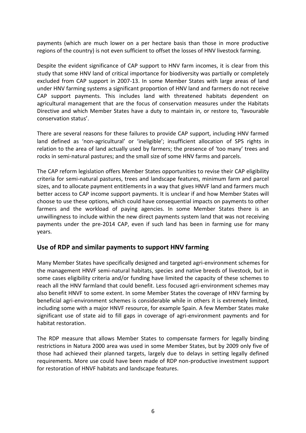payments (which are much lower on a per hectare basis than those in more productive regions of the country) is not even sufficient to offset the losses of HNV livestock farming.

Despite the evident significance of CAP support to HNV farm incomes, it is clear from this study that some HNV land of critical importance for biodiversity was partially or completely excluded from CAP support in 2007-13. In some Member States with large areas of land under HNV farming systems a significant proportion of HNV land and farmers do not receive CAP support payments. This includes land with threatened habitats dependent on agricultural management that are the focus of conservation measures under the Habitats Directive and which Member States have a duty to maintain in, or restore to, 'favourable conservation status'.

There are several reasons for these failures to provide CAP support, including HNV farmed land defined as 'non-agricultural' or 'ineligible'; insufficient allocation of SPS rights in relation to the area of land actually used by farmers; the presence of 'too many' trees and rocks in semi-natural pastures; and the small size of some HNV farms and parcels.

The CAP reform legislation offers Member States opportunities to revise their CAP eligibility criteria for semi-natural pastures, trees and landscape features, minimum farm and parcel sizes, and to allocate payment entitlements in a way that gives HNVF land and farmers much better access to CAP income support payments. It is unclear if and how Member States will choose to use these options, which could have consequential impacts on payments to other farmers and the workload of paying agencies. In some Member States there is an unwillingness to include within the new direct payments system land that was not receiving payments under the pre-2014 CAP, even if such land has been in farming use for many years.

### **Use of RDP and similar payments to support HNV farming**

Many Member States have specifically designed and targeted agri-environment schemes for the management HNVF semi-natural habitats, species and native breeds of livestock, but in some cases eligibility criteria and/or funding have limited the capacity of these schemes to reach all the HNV farmland that could benefit. Less focused agri-environment schemes may also benefit HNVF to some extent. In some Member States the coverage of HNV farming by beneficial agri-environment schemes is considerable while in others it is extremely limited, including some with a major HNVF resource, for example Spain. A few Member States make significant use of state aid to fill gaps in coverage of agri-environment payments and for habitat restoration.

The RDP measure that allows Member States to compensate farmers for legally binding restrictions in Natura 2000 area was used in some Member States, but by 2009 only five of those had achieved their planned targets, largely due to delays in setting legally defined requirements. More use could have been made of RDP non-productive investment support for restoration of HNVF habitats and landscape features.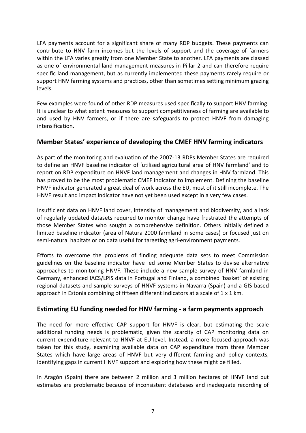LFA payments account for a significant share of many RDP budgets. These payments can contribute to HNV farm incomes but the levels of support and the coverage of farmers within the LFA varies greatly from one Member State to another. LFA payments are classed as one of environmental land management measures in Pillar 2 and can therefore require specific land management, but as currently implemented these payments rarely require or support HNV farming systems and practices, other than sometimes setting minimum grazing levels.

Few examples were found of other RDP measures used specifically to support HNV farming. It is unclear to what extent measures to support competitiveness of farming are available to and used by HNV farmers, or if there are safeguards to protect HNVF from damaging intensification.

# **Member States' experience of developing the CMEF HNV farming indicators**

As part of the monitoring and evaluation of the 2007-13 RDPs Member States are required to define an HNVF baseline indicator of 'utilised agricultural area of HNV farmland' and to report on RDP expenditure on HNVF land management and changes in HNV farmland. This has proved to be the most problematic CMEF indicator to implement. Defining the baseline HNVF indicator generated a great deal of work across the EU, most of it still incomplete. The HNVF result and impact indicator have not yet been used except in a very few cases.

Insufficient data on HNVF land cover, intensity of management and biodiversity, and a lack of regularly updated datasets required to monitor change have frustrated the attempts of those Member States who sought a comprehensive definition. Others initially defined a limited baseline indicator (area of Natura 2000 farmland in some cases) or focused just on semi-natural habitats or on data useful for targeting agri-environment payments.

Efforts to overcome the problems of finding adequate data sets to meet Commission guidelines on the baseline indicator have led some Member States to devise alternative approaches to monitoring HNVF. These include a new sample survey of HNV farmland in Germany, enhanced IACS/LPIS data in Portugal and Finland, a combined 'basket' of existing regional datasets and sample surveys of HNVF systems in Navarra (Spain) and a GIS-based approach in Estonia combining of fifteen different indicators at a scale of 1 x 1 km.

### **Estimating EU funding needed for HNV farming - a farm payments approach**

The need for more effective CAP support for HNVF is clear, but estimating the scale additional funding needs is problematic, given the scarcity of CAP monitoring data on current expenditure relevant to HNVF at EU-level. Instead, a more focused approach was taken for this study, examining available data on CAP expenditure from three Member States which have large areas of HNVF but very different farming and policy contexts, identifying gaps in current HNVF support and exploring how these might be filled.

In Aragón (Spain) there are between 2 million and 3 million hectares of HNVF land but estimates are problematic because of inconsistent databases and inadequate recording of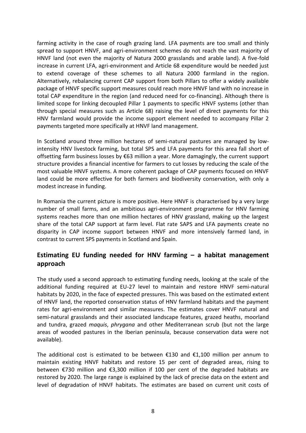farming activity in the case of rough grazing land. LFA payments are too small and thinly spread to support HNVF, and agri-environment schemes do not reach the vast majority of HNVF land (not even the majority of Natura 2000 grasslands and arable land). A five-fold increase in current LFA, agri-environment and Article 68 expenditure would be needed just to extend coverage of these schemes to all Natura 2000 farmland in the region. Alternatively, rebalancing current CAP support from both Pillars to offer a widely available package of HNVF specific support measures could reach more HNVF land with no increase in total CAP expenditure in the region (and reduced need for co-financing). Although there is limited scope for linking decoupled Pillar 1 payments to specific HNVF systems (other than through special measures such as Article 68) raising the level of direct payments for this HNV farmland would provide the income support element needed to accompany Pillar 2 payments targeted more specifically at HNVF land management.

In Scotland around three million hectares of semi-natural pastures are managed by lowintensity HNV livestock farming, but total SPS and LFA payments for this area fall short of offsetting farm business losses by €63 million a year. More damagingly, the current support structure provides a financial incentive for farmers to cut losses by reducing the scale of the most valuable HNVF systems. A more coherent package of CAP payments focused on HNVF land could be more effective for both farmers and biodiversity conservation, with only a modest increase in funding.

In Romania the current picture is more positive. Here HNVF is characterised by a very large number of small farms, and an ambitious agri-environment programme for HNV farming systems reaches more than one million hectares of HNV grassland, making up the largest share of the total CAP support at farm level. Flat rate SAPS and LFA payments create no disparity in CAP income support between HNVF and more intensively farmed land, in contrast to current SPS payments in Scotland and Spain.

# **Estimating EU funding needed for HNV farming – a habitat management approach**

The study used a second approach to estimating funding needs, looking at the scale of the additional funding required at EU-27 level to maintain and restore HNVF semi-natural habitats by 2020, in the face of expected pressures. This was based on the estimated extent of HNVF land, the reported conservation status of HNV farmland habitats and the payment rates for agri-environment and similar measures. The estimates cover HNVF natural and semi-natural grasslands and their associated landscape features, grazed heaths, moorland and tundra, grazed *maquis*, *phrygana* and other Mediterranean scrub (but not the large areas of wooded pastures in the Iberian peninsula, because conservation data were not available).

The additional cost is estimated to be between  $£130$  and  $£1,100$  million per annum to maintain existing HNVF habitats and restore 15 per cent of degraded areas, rising to between €730 million and €3,300 million if 100 per cent of the degraded habitats are restored by 2020. The large range is explained by the lack of precise data on the extent and level of degradation of HNVF habitats. The estimates are based on current unit costs of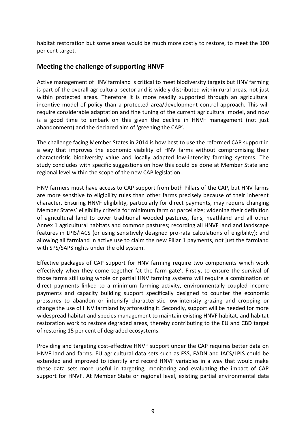habitat restoration but some areas would be much more costly to restore, to meet the 100 per cent target.

# **Meeting the challenge of supporting HNVF**

Active management of HNV farmland is critical to meet biodiversity targets but HNV farming is part of the overall agricultural sector and is widely distributed within rural areas, not just within protected areas. Therefore it is more readily supported through an agricultural incentive model of policy than a protected area/development control approach. This will require considerable adaptation and fine tuning of the current agricultural model, and now is a good time to embark on this given the decline in HNVF management (not just abandonment) and the declared aim of 'greening the CAP'.

The challenge facing Member States in 2014 is how best to use the reformed CAP support in a way that improves the economic viability of HNV farms without compromising their characteristic biodiversity value and locally adapted low-intensity farming systems. The study concludes with specific suggestions on how this could be done at Member State and regional level within the scope of the new CAP legislation.

HNV farmers must have access to CAP support from both Pillars of the CAP, but HNV farms are more sensitive to eligibility rules than other farms precisely because of their inherent character. Ensuring HNVF eligibility, particularly for direct payments, may require changing Member States' eligibility criteria for minimum farm or parcel size; widening their definition of agricultural land to cover traditional wooded pastures, fens, heathland and all other Annex 1 agricultural habitats and common pastures; recording all HNVF land and landscape features in LPIS/IACS (or using sensitively designed pro-rata calculations of eligibility); and allowing all farmland in active use to claim the new Pillar 1 payments, not just the farmland with SPS/SAPS rights under the old system.

Effective packages of CAP support for HNV farming require two components which work effectively when they come together 'at the farm gate'. Firstly, to ensure the survival of those farms still using whole or partial HNV farming systems will require a combination of direct payments linked to a minimum farming activity, environmentally coupled income payments and capacity building support specifically designed to counter the economic pressures to abandon or intensify characteristic low-intensity grazing and cropping or change the use of HNV farmland by afforesting it. Secondly, support will be needed for more widespread habitat and species management to maintain existing HNVF habitat, and habitat restoration work to restore degraded areas, thereby contributing to the EU and CBD target of restoring 15 per cent of degraded ecosystems.

Providing and targeting cost-effective HNVF support under the CAP requires better data on HNVF land and farms. EU agricultural data sets such as FSS, FADN and IACS/LPIS could be extended and improved to identify and record HNVF variables in a way that would make these data sets more useful in targeting, monitoring and evaluating the impact of CAP support for HNVF. At Member State or regional level, existing partial environmental data